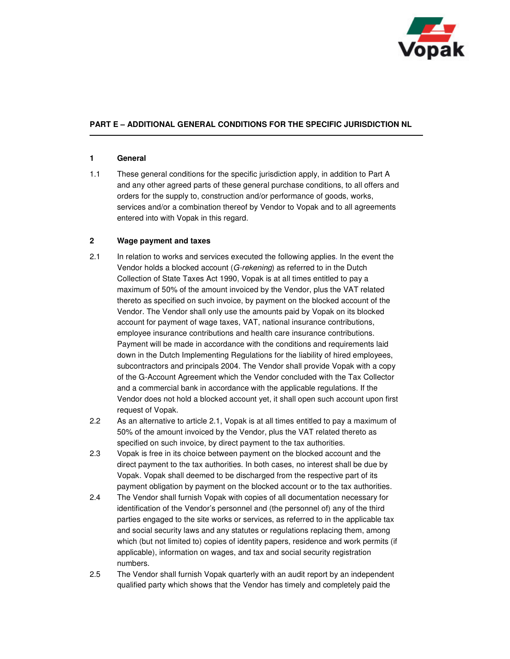

## **PART E – ADDITIONAL GENERAL CONDITIONS FOR THE SPECIFIC JURISDICTION NL**

## **1 General**

1.1 These general conditions for the specific jurisdiction apply, in addition to Part A and any other agreed parts of these general purchase conditions, to all offers and orders for the supply to, construction and/or performance of goods, works, services and/or a combination thereof by Vendor to Vopak and to all agreements entered into with Vopak in this regard.

## **2 Wage payment and taxes**

- 2.1 In relation to works and services executed the following applies. In the event the Vendor holds a blocked account (G-rekening) as referred to in the Dutch Collection of State Taxes Act 1990, Vopak is at all times entitled to pay a maximum of 50% of the amount invoiced by the Vendor, plus the VAT related thereto as specified on such invoice, by payment on the blocked account of the Vendor. The Vendor shall only use the amounts paid by Vopak on its blocked account for payment of wage taxes, VAT, national insurance contributions, employee insurance contributions and health care insurance contributions. Payment will be made in accordance with the conditions and requirements laid down in the Dutch Implementing Regulations for the liability of hired employees, subcontractors and principals 2004. The Vendor shall provide Vopak with a copy of the G-Account Agreement which the Vendor concluded with the Tax Collector and a commercial bank in accordance with the applicable regulations. If the Vendor does not hold a blocked account yet, it shall open such account upon first request of Vopak.
- 2.2 As an alternative to article 2.1, Vopak is at all times entitled to pay a maximum of 50% of the amount invoiced by the Vendor, plus the VAT related thereto as specified on such invoice, by direct payment to the tax authorities.
- 2.3 Vopak is free in its choice between payment on the blocked account and the direct payment to the tax authorities. In both cases, no interest shall be due by Vopak. Vopak shall deemed to be discharged from the respective part of its payment obligation by payment on the blocked account or to the tax authorities.
- 2.4 The Vendor shall furnish Vopak with copies of all documentation necessary for identification of the Vendor's personnel and (the personnel of) any of the third parties engaged to the site works or services, as referred to in the applicable tax and social security laws and any statutes or regulations replacing them, among which (but not limited to) copies of identity papers, residence and work permits (if applicable), information on wages, and tax and social security registration numbers.
- 2.5 The Vendor shall furnish Vopak quarterly with an audit report by an independent qualified party which shows that the Vendor has timely and completely paid the